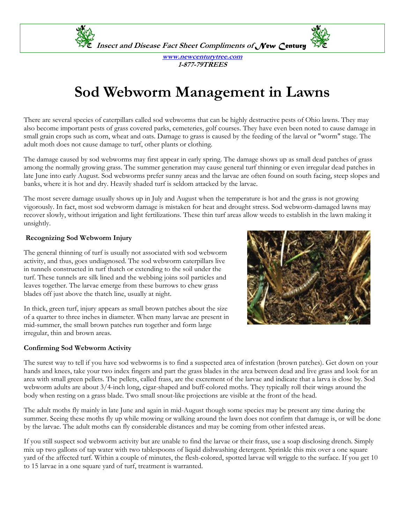

**www.newcenturytree.com 1-877-79TREES** 

# **Sod Webworm Management in Lawns**

There are several species of caterpillars called sod webworms that can be highly destructive pests of Ohio lawns. They may also become important pests of grass covered parks, cemeteries, golf courses. They have even been noted to cause damage in small grain crops such as corn, wheat and oats. Damage to grass is caused by the feeding of the larval or "worm" stage. The adult moth does not cause damage to turf, other plants or clothing.

The damage caused by sod webworms may first appear in early spring. The damage shows up as small dead patches of grass among the normally growing grass. The summer generation may cause general turf thinning or even irregular dead patches in late June into early August. Sod webworms prefer sunny areas and the larvae are often found on south facing, steep slopes and banks, where it is hot and dry. Heavily shaded turf is seldom attacked by the larvae.

The most severe damage usually shows up in July and August when the temperature is hot and the grass is not growing vigorously. In fact, most sod webworm damage is mistaken for heat and drought stress. Sod webworm-damaged lawns may recover slowly, without irrigation and light fertilizations. These thin turf areas allow weeds to establish in the lawn making it unsightly.

#### **Recognizing Sod Webworm Injury**

The general thinning of turf is usually not associated with sod webworm activity, and thus, goes undiagnosed. The sod webworm caterpillars live in tunnels constructed in turf thatch or extending to the soil under the turf. These tunnels are silk lined and the webbing joins soil particles and leaves together. The larvae emerge from these burrows to chew grass blades off just above the thatch line, usually at night.

In thick, green turf, injury appears as small brown patches about the size of a quarter to three inches in diameter. When many larvae are present in mid-summer, the small brown patches run together and form large irregular, thin and brown areas.

#### **Confirming Sod Webworm Activity**



The surest way to tell if you have sod webworms is to find a suspected area of infestation (brown patches). Get down on your hands and knees, take your two index fingers and part the grass blades in the area between dead and live grass and look for an area with small green pellets. The pellets, called frass, are the excrement of the larvae and indicate that a larva is close by. Sod webworm adults are about 3/4-inch long, cigar-shaped and buff-colored moths. They typically roll their wings around the body when resting on a grass blade. Two small snout-like projections are visible at the front of the head.

The adult moths fly mainly in late June and again in mid-August though some species may be present any time during the summer. Seeing these moths fly up while mowing or walking around the lawn does not confirm that damage is, or will be done by the larvae. The adult moths can fly considerable distances and may be coming from other infested areas.

If you still suspect sod webworm activity but are unable to find the larvae or their frass, use a soap disclosing drench. Simply mix up two gallons of tap water with two tablespoons of liquid dishwashing detergent. Sprinkle this mix over a one square yard of the affected turf. Within a couple of minutes, the flesh-colored, spotted larvae will wriggle to the surface. If you get 10 to 15 larvae in a one square yard of turf, treatment is warranted.